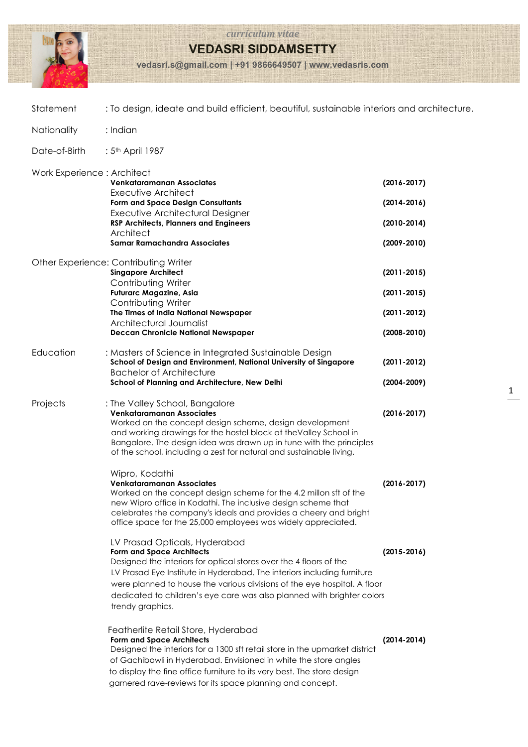

*curriculum vitae*

**VEDASRI SIDDAMSETTY**

**vedasri.s@gmail.com | +91 9866649507 | www.vedasris.com**

| Statement                  | : To design, ideate and build efficient, beautiful, sustainable interiors and architecture.                                                                                                                                                                                                                                                                                                  |                                                                          |  |
|----------------------------|----------------------------------------------------------------------------------------------------------------------------------------------------------------------------------------------------------------------------------------------------------------------------------------------------------------------------------------------------------------------------------------------|--------------------------------------------------------------------------|--|
| Nationality                | : Indian                                                                                                                                                                                                                                                                                                                                                                                     |                                                                          |  |
| Date-of-Birth              | : 5 <sup>th</sup> April 1987                                                                                                                                                                                                                                                                                                                                                                 |                                                                          |  |
| Work Experience: Architect | Venkataramanan Associates<br>Executive Architect<br>Form and Space Design Consultants<br>Executive Architectural Designer<br><b>RSP Architects, Planners and Engineers</b><br>Architect<br><b>Samar Ramachandra Associates</b>                                                                                                                                                               | $(2016 - 2017)$<br>$(2014 - 2016)$<br>$(2010-2014)$<br>$(2009 - 2010)$   |  |
|                            | Other Experience: Contributing Writer<br><b>Singapore Architect</b><br>Contributing Writer<br><b>Futurarc Magazine, Asia</b><br>Contributing Writer<br>The Times of India National Newspaper<br>Architectural Journalist<br><b>Deccan Chronicle National Newspaper</b>                                                                                                                       | $(2011 - 2015)$<br>$(2011 - 2015)$<br>$(2011 - 2012)$<br>$(2008 - 2010)$ |  |
| Education                  | : Masters of Science in Integrated Sustainable Design<br>School of Design and Environment, National University of Singapore<br><b>Bachelor of Architecture</b><br>School of Planning and Architecture, New Delhi                                                                                                                                                                             | $(2011 - 2012)$<br>$(2004 - 2009)$                                       |  |
| Projects                   | : The Valley School, Bangalore<br>Venkataramanan Associates<br>Worked on the concept design scheme, design development<br>and working drawings for the hostel block at the Valley School in<br>Bangalore. The design idea was drawn up in tune with the principles<br>of the school, including a zest for natural and sustainable living.                                                    | $(2016 - 2017)$                                                          |  |
|                            | Wipro, Kodathi<br><b>Venkataramanan Associates</b><br>Worked on the concept design scheme for the 4.2 millon sft of the<br>new Wipro office in Kodathi. The inclusive design scheme that<br>celebrates the company's ideals and provides a cheery and bright<br>office space for the 25,000 employees was widely appreciated.                                                                | $(2016 - 2017)$                                                          |  |
|                            | LV Prasad Opticals, Hyderabad<br><b>Form and Space Architects</b><br>Designed the interiors for optical stores over the 4 floors of the<br>LV Prasad Eye Institute in Hyderabad. The interiors including furniture<br>were planned to house the various divisions of the eye hospital. A floor<br>dedicated to children's eye care was also planned with brighter colors<br>trendy graphics. | $(2015 - 2016)$                                                          |  |
|                            | Featherlite Retail Store, Hyderabad<br><b>Form and Space Architects</b><br>Designed the interiors for a 1300 sft retail store in the upmarket district<br>of Gachibowli in Hyderabad. Envisioned in white the store angles<br>to display the fine office furniture to its very best. The store design<br>garnered rave-reviews for its space planning and concept.                           | $(2014 - 2014)$                                                          |  |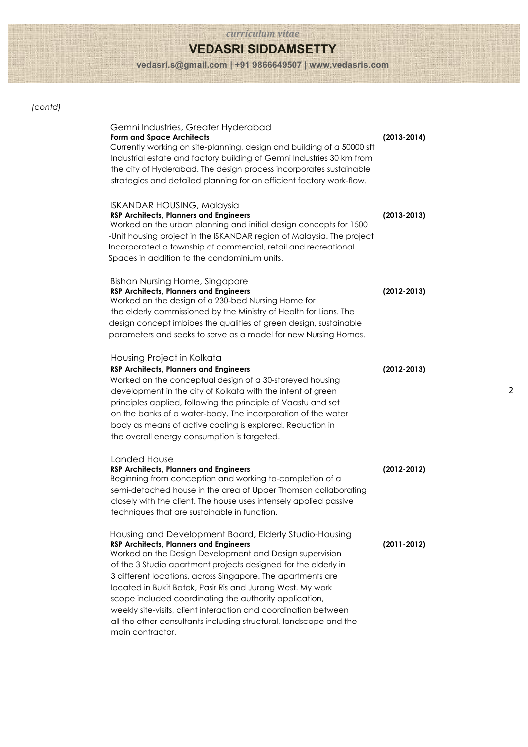### *curriculum vitae*

# **VEDASRI SIDDAMSETTY**

**vedasri.s@gmail.com | +91 9866649507 | www.vedasris.com**

### *(contd)*

| Gemni Industries, Greater Hyderabad<br><b>Form and Space Architects</b><br>Currently working on site-planning, design and building of a 50000 sft<br>Industrial estate and factory building of Gemni Industries 30 km from<br>the city of Hyderabad. The design process incorporates sustainable<br>strategies and detailed planning for an efficient factory work-flow.                                                                                                                                                                                                               | $(2013 - 2014)$ |
|----------------------------------------------------------------------------------------------------------------------------------------------------------------------------------------------------------------------------------------------------------------------------------------------------------------------------------------------------------------------------------------------------------------------------------------------------------------------------------------------------------------------------------------------------------------------------------------|-----------------|
| <b>ISKANDAR HOUSING, Malaysia</b><br><b>RSP Architects, Planners and Engineers</b><br>Worked on the urban planning and initial design concepts for 1500<br>-Unit housing project in the ISKANDAR region of Malaysia. The project<br>Incorporated a township of commercial, retail and recreational<br>Spaces in addition to the condominium units.                                                                                                                                                                                                                                     | $(2013 - 2013)$ |
| <b>Bishan Nursing Home, Singapore</b><br><b>RSP Architects, Planners and Engineers</b><br>Worked on the design of a 230-bed Nursing Home for<br>the elderly commissioned by the Ministry of Health for Lions. The<br>design concept imbibes the qualities of green design, sustainable<br>parameters and seeks to serve as a model for new Nursing Homes.                                                                                                                                                                                                                              | $(2012 - 2013)$ |
| Housing Project in Kolkata<br><b>RSP Architects, Planners and Engineers</b><br>Worked on the conceptual design of a 30-storeyed housing<br>development in the city of Kolkata with the intent of green<br>principles applied, following the principle of Vaastu and set<br>on the banks of a water-body. The incorporation of the water<br>body as means of active cooling is explored. Reduction in<br>the overall energy consumption is targeted.                                                                                                                                    | $(2012 - 2013)$ |
| Landed House<br><b>RSP Architects, Planners and Engineers</b><br>Beginning from conception and working to-completion of a<br>semi-detached house in the area of Upper Thomson collaborating<br>closely with the client. The house uses intensely applied passive<br>techniques that are sustainable in function.                                                                                                                                                                                                                                                                       | $(2012 - 2012)$ |
| Housing and Development Board, Elderly Studio-Housing<br><b>RSP Architects, Planners and Engineers</b><br>Worked on the Design Development and Design supervision<br>of the 3 Studio apartment projects designed for the elderly in<br>3 different locations, across Singapore. The apartments are<br>located in Bukit Batok, Pasir Ris and Jurong West. My work<br>scope included coordinating the authority application,<br>weekly site-visits, client interaction and coordination between<br>all the other consultants including structural, landscape and the<br>main contractor. | $(2011 - 2012)$ |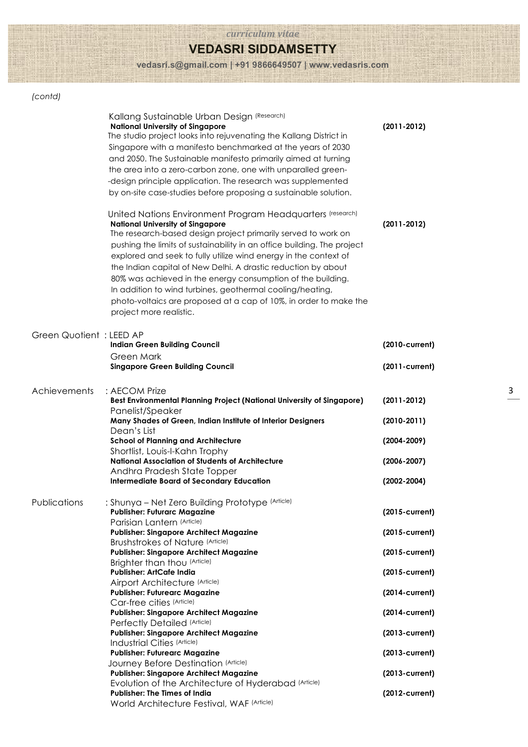#### *curriculum vitae*

## **VEDASRI SIDDAMSETTY**

**vedasri.s@gmail.com | +91 9866649507 | www.vedasris.com**

### *(contd)*

|                          | Kallang Sustainable Urban Design (Research)<br><b>National University of Singapore</b><br>The studio project looks into rejuvenating the Kallang District in<br>Singapore with a manifesto benchmarked at the years of 2030<br>and 2050. The Sustainable manifesto primarily aimed at turning<br>the area into a zero-carbon zone, one with unparalled green-<br>-design principle application. The research was supplemented<br>by on-site case-studies before proposing a sustainable solution.                                                                                                                  | $(2011 - 2012)$                     |
|--------------------------|--------------------------------------------------------------------------------------------------------------------------------------------------------------------------------------------------------------------------------------------------------------------------------------------------------------------------------------------------------------------------------------------------------------------------------------------------------------------------------------------------------------------------------------------------------------------------------------------------------------------|-------------------------------------|
|                          | United Nations Environment Program Headquarters (research)<br><b>National University of Singapore</b><br>The research-based design project primarily served to work on<br>pushing the limits of sustainability in an office building. The project<br>explored and seek to fully utilize wind energy in the context of<br>the Indian capital of New Delhi. A drastic reduction by about<br>80% was achieved in the energy consumption of the building.<br>In addition to wind turbines, geothermal cooling/heating,<br>photo-voltaics are proposed at a cap of 10%, in order to make the<br>project more realistic. | $(2011 - 2012)$                     |
| Green Quotient : LEED AP | <b>Indian Green Building Council</b><br>Green Mark<br><b>Singapore Green Building Council</b>                                                                                                                                                                                                                                                                                                                                                                                                                                                                                                                      | (2010-current)<br>$(2011$ -current) |
|                          |                                                                                                                                                                                                                                                                                                                                                                                                                                                                                                                                                                                                                    |                                     |
| Achievements             | : AECOM Prize<br>Best Environmental Planning Project (National University of Singapore)<br>Panelist/Speaker                                                                                                                                                                                                                                                                                                                                                                                                                                                                                                        | $(2011 - 2012)$                     |
|                          | Many Shades of Green, Indian Institute of Interior Designers<br>Dean's List                                                                                                                                                                                                                                                                                                                                                                                                                                                                                                                                        | $(2010-2011)$                       |
|                          | <b>School of Planning and Architecture</b>                                                                                                                                                                                                                                                                                                                                                                                                                                                                                                                                                                         | $(2004 - 2009)$                     |
|                          | Shortlist, Louis-I-Kahn Trophy<br><b>National Association of Students of Architecture</b>                                                                                                                                                                                                                                                                                                                                                                                                                                                                                                                          | $(2006 - 2007)$                     |
|                          | Andhra Pradesh State Topper<br><b>Intermediate Board of Secondary Education</b>                                                                                                                                                                                                                                                                                                                                                                                                                                                                                                                                    | $(2002 - 2004)$                     |
|                          |                                                                                                                                                                                                                                                                                                                                                                                                                                                                                                                                                                                                                    |                                     |
| Publications             | : Shunya – Net Zero Building Prototype (Article)<br><b>Publisher: Futurarc Magazine</b><br>Parisian Lantern (Article)                                                                                                                                                                                                                                                                                                                                                                                                                                                                                              | (2015-current)                      |
|                          | <b>Publisher: Singapore Architect Magazine</b>                                                                                                                                                                                                                                                                                                                                                                                                                                                                                                                                                                     | (2015-current)                      |
|                          | <b>Brushstrokes of Nature (Article)</b><br><b>Publisher: Singapore Architect Magazine</b>                                                                                                                                                                                                                                                                                                                                                                                                                                                                                                                          | $(2015$ -current)                   |
|                          | Brighter than thou (Article)<br><b>Publisher: ArtCafe India</b>                                                                                                                                                                                                                                                                                                                                                                                                                                                                                                                                                    | (2015-current)                      |
|                          | Airport Architecture (Article)                                                                                                                                                                                                                                                                                                                                                                                                                                                                                                                                                                                     |                                     |
|                          | <b>Publisher: Futurearc Magazine</b><br>Car-free cities (Article)                                                                                                                                                                                                                                                                                                                                                                                                                                                                                                                                                  | $(2014$ -current)                   |
|                          | <b>Publisher: Singapore Architect Magazine</b>                                                                                                                                                                                                                                                                                                                                                                                                                                                                                                                                                                     | $(2014$ -current)                   |
|                          | Perfectly Detailed (Article)<br><b>Publisher: Singapore Architect Magazine</b>                                                                                                                                                                                                                                                                                                                                                                                                                                                                                                                                     | (2013-current)                      |
|                          | Industrial Cities (Article)                                                                                                                                                                                                                                                                                                                                                                                                                                                                                                                                                                                        |                                     |
|                          | <b>Publisher: Futurearc Magazine</b><br>Journey Before Destination (Article)                                                                                                                                                                                                                                                                                                                                                                                                                                                                                                                                       | (2013-current)                      |
|                          | <b>Publisher: Singapore Architect Magazine</b>                                                                                                                                                                                                                                                                                                                                                                                                                                                                                                                                                                     | (2013-current)                      |
|                          | Evolution of the Architecture of Hyderabad (Article)<br><b>Publisher: The Times of India</b>                                                                                                                                                                                                                                                                                                                                                                                                                                                                                                                       | $(2012$ -current)                   |
|                          | World Architecture Festival, WAF (Article)                                                                                                                                                                                                                                                                                                                                                                                                                                                                                                                                                                         |                                     |
|                          |                                                                                                                                                                                                                                                                                                                                                                                                                                                                                                                                                                                                                    |                                     |